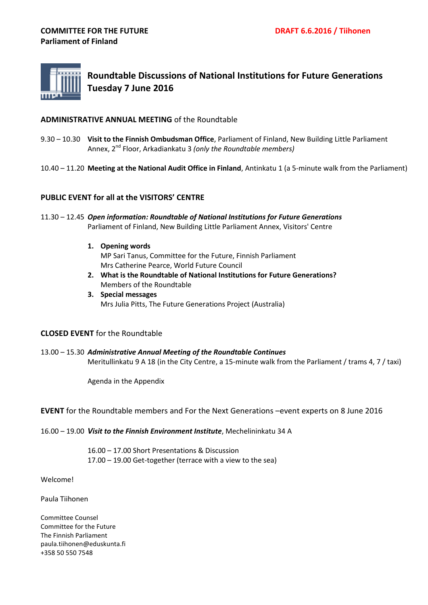

**Roundtable Discussions of National Institutions for Future Generations Tuesday 7 June 2016**

## **ADMINISTRATIVE ANNUAL MEETING** of the Roundtable

- 9.30 10.30 **Visit to the Finnish Ombudsman Office**, Parliament of Finland, New Building Little Parliament Annex, 2nd Floor, Arkadiankatu 3 *(only the Roundtable members)*
- 10.40 11.20 **Meeting at the National Audit Office in Finland**, Antinkatu 1 (a 5-minute walk from the Parliament)

## **PUBLIC EVENT for all at the VISITORS' CENTRE**

- 11.30 12.45 *Open information: Roundtable of National Institutions for Future Generations* Parliament of Finland, New Building Little Parliament Annex, Visitors' Centre
	- **1. Opening words** MP Sari Tanus, Committee for the Future, Finnish Parliament Mrs Catherine Pearce, World Future Council
	- **2. What is the Roundtable of National Institutions for Future Generations?** Members of the Roundtable
	- **3. Special messages** Mrs Julia Pitts, The Future Generations Project (Australia)

### **CLOSED EVENT** for the Roundtable

13.00 – 15.30 *Administrative Annual Meeting of the Roundtable Continues* Meritullinkatu 9 A 18 (in the City Centre, a 15-minute walk from the Parliament / trams 4, 7 / taxi)

Agenda in the Appendix

### **EVENT** for the Roundtable members and For the Next Generations –event experts on 8 June 2016

16.00 – 19.00 *Visit to the Finnish Environment Institute*, Mechelininkatu 34 A

16.00 – 17.00 Short Presentations & Discussion 17.00 – 19.00 Get-together (terrace with a view to the sea)

Welcome!

Paula Tiihonen

Committee Counsel Committee for the Future The Finnish Parliament paula.tiihonen@eduskunta.fi +358 50 550 7548